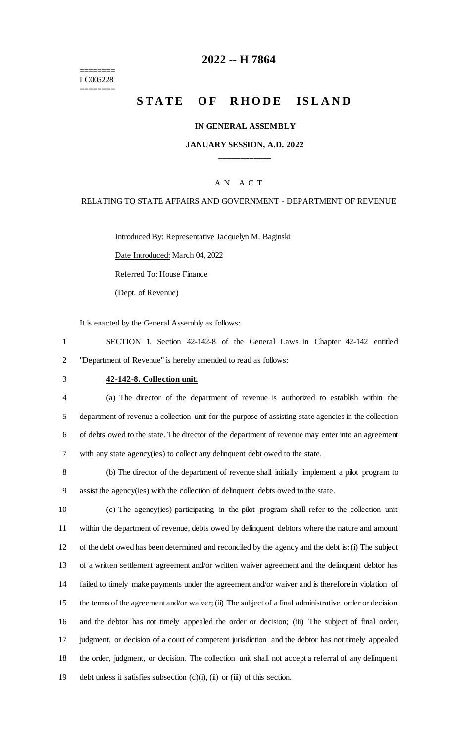======== LC005228 ========

# **2022 -- H 7864**

# **STATE OF RHODE ISLAND**

#### **IN GENERAL ASSEMBLY**

### **JANUARY SESSION, A.D. 2022 \_\_\_\_\_\_\_\_\_\_\_\_**

### A N A C T

### RELATING TO STATE AFFAIRS AND GOVERNMENT - DEPARTMENT OF REVENUE

Introduced By: Representative Jacquelyn M. Baginski

Date Introduced: March 04, 2022

Referred To: House Finance

(Dept. of Revenue)

It is enacted by the General Assembly as follows:

1 SECTION 1. Section 42-142-8 of the General Laws in Chapter 42-142 entitled 2 "Department of Revenue" is hereby amended to read as follows:

#### 3 **42-142-8. Collection unit.**

 (a) The director of the department of revenue is authorized to establish within the department of revenue a collection unit for the purpose of assisting state agencies in the collection of debts owed to the state. The director of the department of revenue may enter into an agreement with any state agency(ies) to collect any delinquent debt owed to the state.

8 (b) The director of the department of revenue shall initially implement a pilot program to 9 assist the agency(ies) with the collection of delinquent debts owed to the state.

 (c) The agency(ies) participating in the pilot program shall refer to the collection unit within the department of revenue, debts owed by delinquent debtors where the nature and amount of the debt owed has been determined and reconciled by the agency and the debt is: (i) The subject of a written settlement agreement and/or written waiver agreement and the delinquent debtor has failed to timely make payments under the agreement and/or waiver and is therefore in violation of the terms of the agreement and/or waiver; (ii) The subject of a final administrative order or decision and the debtor has not timely appealed the order or decision; (iii) The subject of final order, judgment, or decision of a court of competent jurisdiction and the debtor has not timely appealed the order, judgment, or decision. The collection unit shall not accept a referral of any delinquent debt unless it satisfies subsection (c)(i), (ii) or (iii) of this section.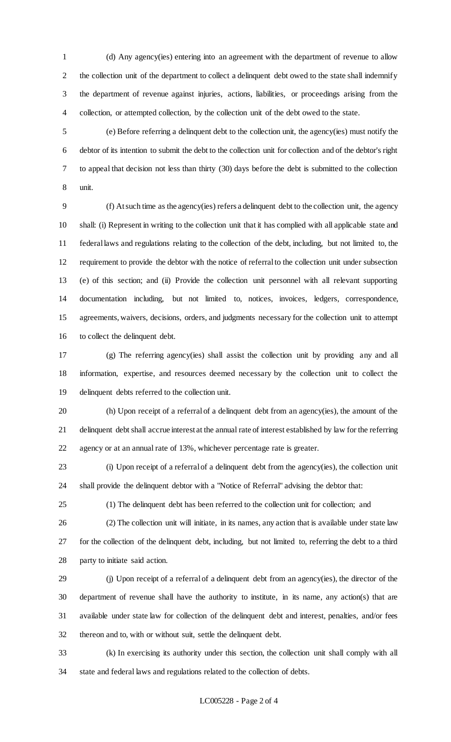(d) Any agency(ies) entering into an agreement with the department of revenue to allow the collection unit of the department to collect a delinquent debt owed to the state shall indemnify the department of revenue against injuries, actions, liabilities, or proceedings arising from the collection, or attempted collection, by the collection unit of the debt owed to the state.

 (e) Before referring a delinquent debt to the collection unit, the agency(ies) must notify the debtor of its intention to submit the debt to the collection unit for collection and of the debtor's right to appeal that decision not less than thirty (30) days before the debt is submitted to the collection unit.

 (f) At such time as the agency(ies) refers a delinquent debt to the collection unit, the agency shall: (i) Represent in writing to the collection unit that it has complied with all applicable state and federal laws and regulations relating to the collection of the debt, including, but not limited to, the requirement to provide the debtor with the notice of referral to the collection unit under subsection (e) of this section; and (ii) Provide the collection unit personnel with all relevant supporting documentation including, but not limited to, notices, invoices, ledgers, correspondence, agreements, waivers, decisions, orders, and judgments necessary for the collection unit to attempt to collect the delinquent debt.

 (g) The referring agency(ies) shall assist the collection unit by providing any and all information, expertise, and resources deemed necessary by the collection unit to collect the delinquent debts referred to the collection unit.

 (h) Upon receipt of a referral of a delinquent debt from an agency(ies), the amount of the delinquent debt shall accrue interest at the annual rate of interest established by law for the referring agency or at an annual rate of 13%, whichever percentage rate is greater.

 (i) Upon receipt of a referral of a delinquent debt from the agency(ies), the collection unit shall provide the delinquent debtor with a "Notice of Referral" advising the debtor that:

(1) The delinquent debt has been referred to the collection unit for collection; and

(2) The collection unit will initiate, in its names, any action that is available under state law

 for the collection of the delinquent debt, including, but not limited to, referring the debt to a third party to initiate said action.

 (j) Upon receipt of a referral of a delinquent debt from an agency(ies), the director of the department of revenue shall have the authority to institute, in its name, any action(s) that are available under state law for collection of the delinquent debt and interest, penalties, and/or fees thereon and to, with or without suit, settle the delinquent debt.

 (k) In exercising its authority under this section, the collection unit shall comply with all state and federal laws and regulations related to the collection of debts.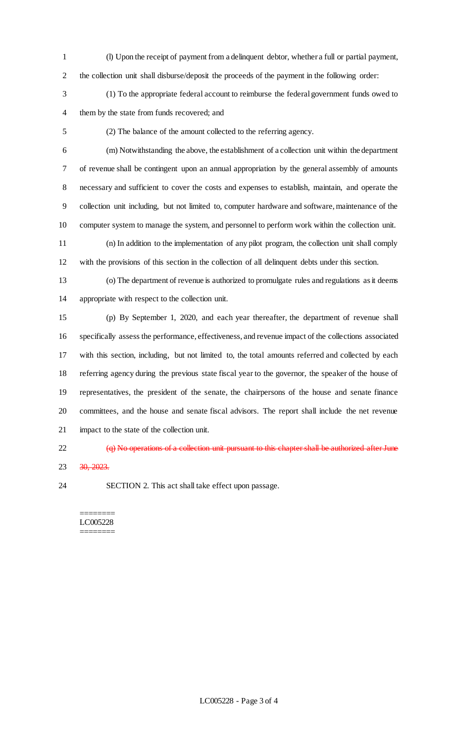- (l) Upon the receipt of payment from a delinquent debtor, whether a full or partial payment, the collection unit shall disburse/deposit the proceeds of the payment in the following order:
- (1) To the appropriate federal account to reimburse the federal government funds owed to them by the state from funds recovered; and
- 

(2) The balance of the amount collected to the referring agency.

 (m) Notwithstanding the above, the establishment of a collection unit within the department of revenue shall be contingent upon an annual appropriation by the general assembly of amounts necessary and sufficient to cover the costs and expenses to establish, maintain, and operate the collection unit including, but not limited to, computer hardware and software, maintenance of the computer system to manage the system, and personnel to perform work within the collection unit.

 (n) In addition to the implementation of any pilot program, the collection unit shall comply with the provisions of this section in the collection of all delinquent debts under this section.

 (o) The department of revenue is authorized to promulgate rules and regulations as it deems appropriate with respect to the collection unit.

 (p) By September 1, 2020, and each year thereafter, the department of revenue shall specifically assess the performance, effectiveness, and revenue impact of the collections associated with this section, including, but not limited to, the total amounts referred and collected by each referring agency during the previous state fiscal year to the governor, the speaker of the house of representatives, the president of the senate, the chairpersons of the house and senate finance committees, and the house and senate fiscal advisors. The report shall include the net revenue impact to the state of the collection unit.

22 (q) No operations of a collection unit pursuant to this chapter shall be authorized after June 23 30, 2023.

SECTION 2. This act shall take effect upon passage.

======== LC005228 ========